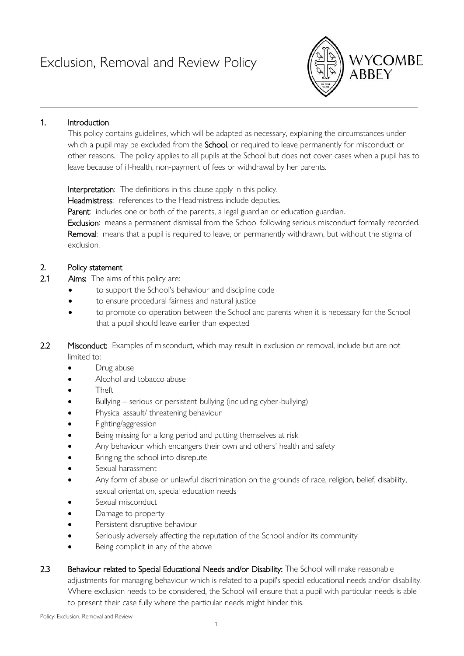

## 1. Introduction

This policy contains guidelines, which will be adapted as necessary, explaining the circumstances under which a pupil may be excluded from the School, or required to leave permanently for misconduct or other reasons. The policy applies to all pupils at the School but does not cover cases when a pupil has to leave because of ill-health, non-payment of fees or withdrawal by her parents.

Interpretation: The definitions in this clause apply in this policy.

Headmistress: references to the Headmistress include deputies.

Parent: includes one or both of the parents, a legal guardian or education guardian.

Exclusion: means a permanent dismissal from the School following serious misconduct formally recorded. Removal: means that a pupil is required to leave, or permanently withdrawn, but without the stigma of exclusion.

## 2. Policy statement

- 2.1 **Aims:** The aims of this policy are:
	- to support the School's behaviour and discipline code
	- to ensure procedural fairness and natural justice
	- to promote co-operation between the School and parents when it is necessary for the School that a pupil should leave earlier than expected
- 2.2 Misconduct: Examples of misconduct, which may result in exclusion or removal, include but are not limited to:
	- Drug abuse
	- Alcohol and tobacco abuse
	- Theft
	- Bullying serious or persistent bullying (including cyber-bullying)
	- Physical assault/ threatening behaviour
	- Fighting/aggression
	- Being missing for a long period and putting themselves at risk
	- Any behaviour which endangers their own and others' health and safety
	- Bringing the school into disrepute
	- Sexual harassment
	- Any form of abuse or unlawful discrimination on the grounds of race, religion, belief, disability, sexual orientation, special education needs
	- Sexual misconduct
	- Damage to property
	- Persistent disruptive behaviour
	- Seriously adversely affecting the reputation of the School and/or its community
	- Being complicit in any of the above
- 2.3 Behaviour related to Special Educational Needs and/or Disability: The School will make reasonable adjustments for managing behaviour which is related to a pupil's special educational needs and/or disability. Where exclusion needs to be considered, the School will ensure that a pupil with particular needs is able to present their case fully where the particular needs might hinder this.

Policy: Exclusion, Removal and Review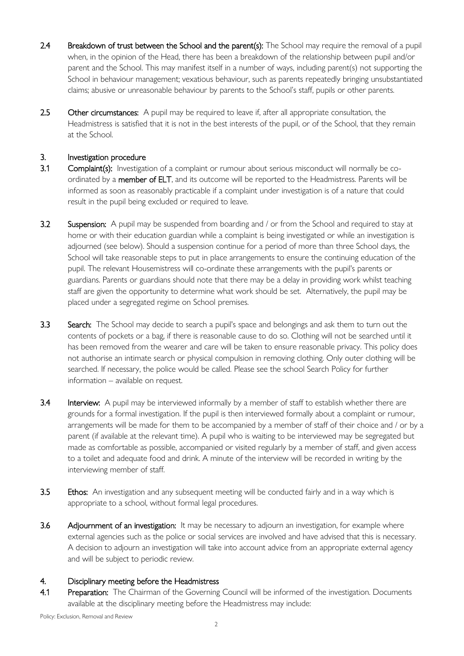- 2.4 Breakdown of trust between the School and the parent(s): The School may require the removal of a pupil when, in the opinion of the Head, there has been a breakdown of the relationship between pupil and/or parent and the School. This may manifest itself in a number of ways, including parent(s) not supporting the School in behaviour management; vexatious behaviour, such as parents repeatedly bringing unsubstantiated claims; abusive or unreasonable behaviour by parents to the School's staff, pupils or other parents.
- 2.5 Other circumstances: A pupil may be required to leave if, after all appropriate consultation, the Headmistress is satisfied that it is not in the best interests of the pupil, or of the School, that they remain at the School.

#### 3. Investigation procedure

- 3.1 Complaint(s): Investigation of a complaint or rumour about serious misconduct will normally be coordinated by a member of ELT, and its outcome will be reported to the Headmistress. Parents will be informed as soon as reasonably practicable if a complaint under investigation is of a nature that could result in the pupil being excluded or required to leave.
- 3.2 Suspension: A pupil may be suspended from boarding and / or from the School and required to stay at home or with their education guardian while a complaint is being investigated or while an investigation is adjourned (see below). Should a suspension continue for a period of more than three School days, the School will take reasonable steps to put in place arrangements to ensure the continuing education of the pupil. The relevant Housemistress will co-ordinate these arrangements with the pupil's parents or guardians. Parents or guardians should note that there may be a delay in providing work whilst teaching staff are given the opportunity to determine what work should be set. Alternatively, the pupil may be placed under a segregated regime on School premises.
- 3.3 Search: The School may decide to search a pupil's space and belongings and ask them to turn out the contents of pockets or a bag, if there is reasonable cause to do so. Clothing will not be searched until it has been removed from the wearer and care will be taken to ensure reasonable privacy. This policy does not authorise an intimate search or physical compulsion in removing clothing. Only outer clothing will be searched. If necessary, the police would be called. Please see the school Search Policy for further information – available on request.
- 3.4 Interview: A pupil may be interviewed informally by a member of staff to establish whether there are grounds for a formal investigation. If the pupil is then interviewed formally about a complaint or rumour, arrangements will be made for them to be accompanied by a member of staff of their choice and / or by a parent (if available at the relevant time). A pupil who is waiting to be interviewed may be segregated but made as comfortable as possible, accompanied or visited regularly by a member of staff, and given access to a toilet and adequate food and drink. A minute of the interview will be recorded in writing by the interviewing member of staff.
- 3.5 Ethos: An investigation and any subsequent meeting will be conducted fairly and in a way which is appropriate to a school, without formal legal procedures.
- 3.6 Adjournment of an investigation: It may be necessary to adjourn an investigation, for example where external agencies such as the police or social services are involved and have advised that this is necessary. A decision to adjourn an investigation will take into account advice from an appropriate external agency and will be subject to periodic review.

#### 4. Disciplinary meeting before the Headmistress

4.1 Preparation: The Chairman of the Governing Council will be informed of the investigation. Documents available at the disciplinary meeting before the Headmistress may include: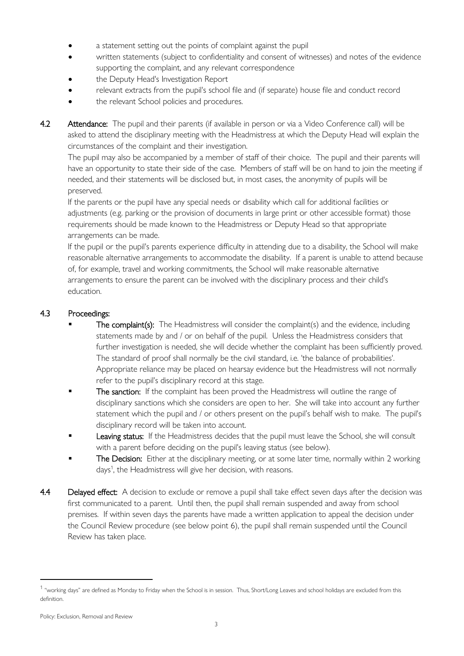- a statement setting out the points of complaint against the pupil
- written statements (subject to confidentiality and consent of witnesses) and notes of the evidence supporting the complaint, and any relevant correspondence
- the Deputy Head's Investigation Report
- relevant extracts from the pupil's school file and (if separate) house file and conduct record
- the relevant School policies and procedures.
- 4.2 Attendance: The pupil and their parents (if available in person or via a Video Conference call) will be asked to attend the disciplinary meeting with the Headmistress at which the Deputy Head will explain the circumstances of the complaint and their investigation.

The pupil may also be accompanied by a member of staff of their choice. The pupil and their parents will have an opportunity to state their side of the case. Members of staff will be on hand to join the meeting if needed, and their statements will be disclosed but, in most cases, the anonymity of pupils will be preserved.

If the parents or the pupil have any special needs or disability which call for additional facilities or adjustments (e.g. parking or the provision of documents in large print or other accessible format) those requirements should be made known to the Headmistress or Deputy Head so that appropriate arrangements can be made.

If the pupil or the pupil's parents experience difficulty in attending due to a disability, the School will make reasonable alternative arrangements to accommodate the disability. If a parent is unable to attend because of, for example, travel and working commitments, the School will make reasonable alternative arrangements to ensure the parent can be involved with the disciplinary process and their child's education.

## 4.3 Proceedings:

- The complaint(s): The Headmistress will consider the complaint(s) and the evidence, including statements made by and / or on behalf of the pupil. Unless the Headmistress considers that further investigation is needed, she will decide whether the complaint has been sufficiently proved. The standard of proof shall normally be the civil standard, i.e. 'the balance of probabilities'. Appropriate reliance may be placed on hearsay evidence but the Headmistress will not normally refer to the pupil's disciplinary record at this stage.
- The sanction: If the complaint has been proved the Headmistress will outline the range of disciplinary sanctions which she considers are open to her. She will take into account any further statement which the pupil and / or others present on the pupil's behalf wish to make. The pupil's disciplinary record will be taken into account.
- Leaving status: If the Headmistress decides that the pupil must leave the School, she will consult with a parent before deciding on the pupil's leaving status (see below).
- The Decision: Either at the disciplinary meeting, or at some later time, normally within 2 working days<sup>1</sup>, the Headmistress will give her decision, with reasons.
- 4.4 Delayed effect: A decision to exclude or remove a pupil shall take effect seven days after the decision was first communicated to a parent. Until then, the pupil shall remain suspended and away from school premises. If within seven days the parents have made a written application to appeal the decision under the Council Review procedure (see below point 6), the pupil shall remain suspended until the Council Review has taken place.

<sup>&</sup>lt;sup>1</sup> "working days" are defined as Monday to Friday when the School is in session. Thus, Short/Long Leaves and school holidays are excluded from this definition.